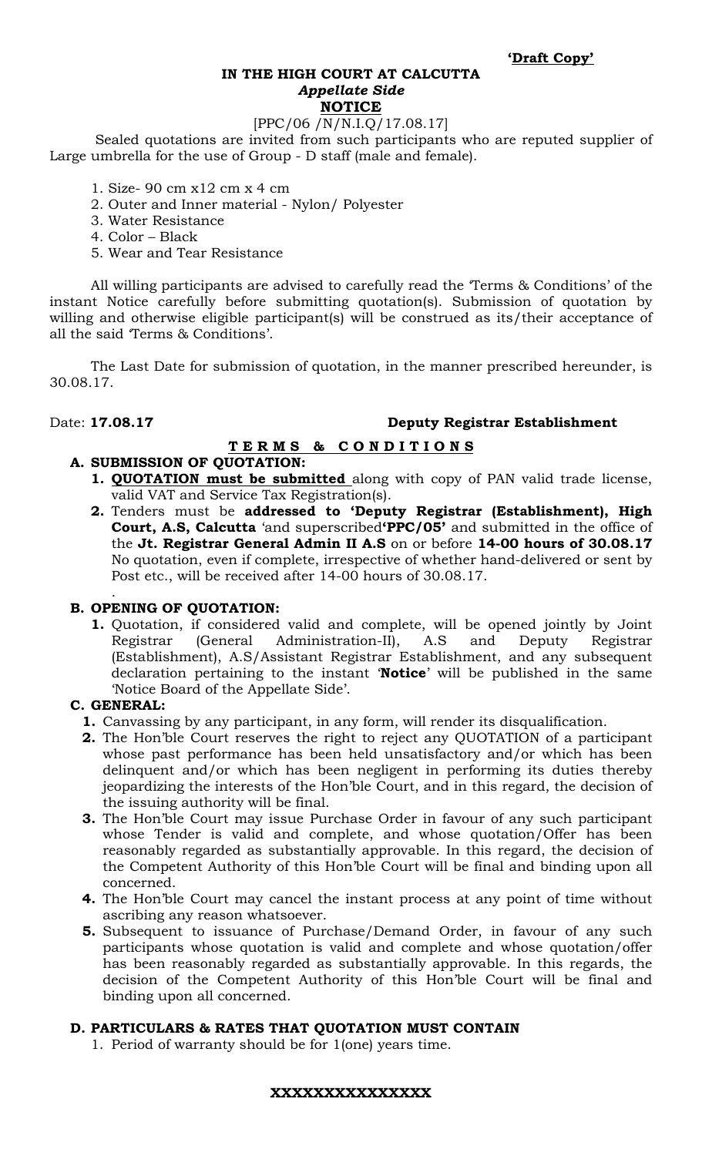#### **IN THE HIGH COURT AT CALCUTTA**  *Appellate Side* **NOTICE**

# [PPC/06 /N/N.I.Q/17.08.17]

 Sealed quotations are invited from such participants who are reputed supplier of Large umbrella for the use of Group - D staff (male and female).

- 1. Size- 90 cm x12 cm x 4 cm
- 2. Outer and Inner material Nylon/ Polyester
- 3. Water Resistance
- 4. Color Black
- 5. Wear and Tear Resistance

All willing participants are advised to carefully read the 'Terms & Conditions' of the instant Notice carefully before submitting quotation(s). Submission of quotation by willing and otherwise eligible participant(s) will be construed as its/their acceptance of all the said 'Terms & Conditions'.

The Last Date for submission of quotation, in the manner prescribed hereunder, is 30.08.17.

### Date: **17.08.17 Deputy Registrar Establishment**

## **T E R M S & C O N D I T I O N S**

### **A. SUBMISSION OF QUOTATION:**

- **1. QUOTATION must be submitted** along with copy of PAN valid trade license, valid VAT and Service Tax Registration(s).
- **2.** Tenders must be **addressed to 'Deputy Registrar (Establishment), High Court, A.S, Calcutta** 'and superscribed**'PPC/05'** and submitted in the office of the **Jt. Registrar General Admin II A.S** on or before **14-00 hours of 30.08.17**  No quotation, even if complete, irrespective of whether hand-delivered or sent by Post etc., will be received after 14-00 hours of 30.08.17.

#### . **B. OPENING OF QUOTATION:**

**1.** Quotation, if considered valid and complete, will be opened jointly by Joint Registrar (General Administration-II), A.S and Deputy Registrar (Establishment), A.S/Assistant Registrar Establishment, and any subsequent declaration pertaining to the instant '**Notice**' will be published in the same 'Notice Board of the Appellate Side'.

#### **C. GENERAL:**

- **1.** Canvassing by any participant, in any form, will render its disqualification.
- **2.** The Hon'ble Court reserves the right to reject any QUOTATION of a participant whose past performance has been held unsatisfactory and/or which has been delinquent and/or which has been negligent in performing its duties thereby jeopardizing the interests of the Hon'ble Court, and in this regard, the decision of the issuing authority will be final.
- **3.** The Hon'ble Court may issue Purchase Order in favour of any such participant whose Tender is valid and complete, and whose quotation/Offer has been reasonably regarded as substantially approvable. In this regard, the decision of the Competent Authority of this Hon'ble Court will be final and binding upon all concerned.
- **4.** The Hon'ble Court may cancel the instant process at any point of time without ascribing any reason whatsoever.
- **5.** Subsequent to issuance of Purchase/Demand Order, in favour of any such participants whose quotation is valid and complete and whose quotation/offer has been reasonably regarded as substantially approvable. In this regards, the decision of the Competent Authority of this Hon'ble Court will be final and binding upon all concerned.

#### **D. PARTICULARS & RATES THAT QUOTATION MUST CONTAIN**

1. Period of warranty should be for 1(one) years time.

#### **XXXXXXXXXXXXXXX**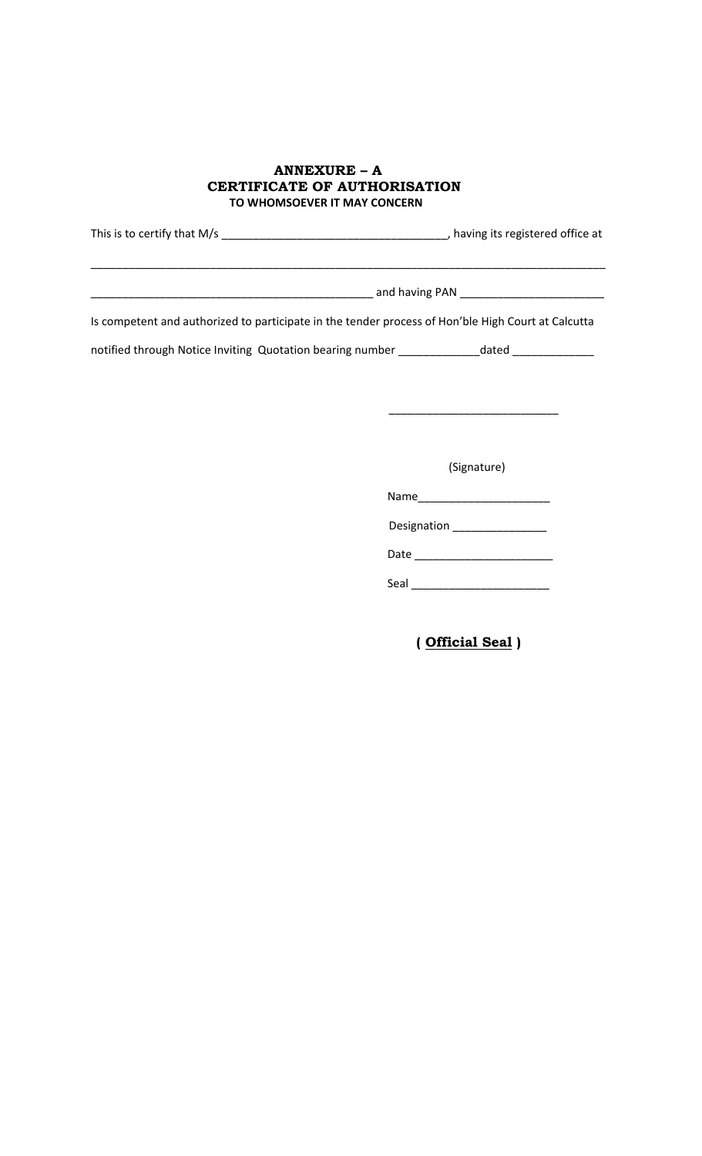#### **ANNEXURE – A CERTIFICATE OF AUTHORISATION TO WHOMSOEVER IT MAY CONCERN**

| This is to certify that M/s | having its registered office at                                                                    |  |
|-----------------------------|----------------------------------------------------------------------------------------------------|--|
|                             |                                                                                                    |  |
|                             | and having PAN                                                                                     |  |
|                             | Is competent and authorized to participate in the tender process of Hon'ble High Court at Calcutta |  |

notified through Notice Inviting Quotation bearing number \_\_\_\_\_\_\_\_\_\_\_\_\_\_dated \_\_\_\_\_\_\_\_\_\_\_\_\_\_\_\_\_\_\_\_\_

 $\overline{\phantom{a}}$  , and the contract of the contract of the contract of the contract of the contract of the contract of the contract of the contract of the contract of the contract of the contract of the contract of the contrac

(Signature)

Name\_\_\_\_\_\_\_\_\_\_\_\_\_\_\_\_\_\_\_\_\_

Designation \_\_\_\_\_\_\_\_\_\_\_\_\_\_\_

Date \_\_\_\_\_\_\_\_\_\_\_\_\_\_\_\_\_\_\_\_\_\_

Seal \_\_\_\_\_\_\_\_\_\_\_\_\_\_\_\_\_\_\_\_\_\_

 **( Official Seal )**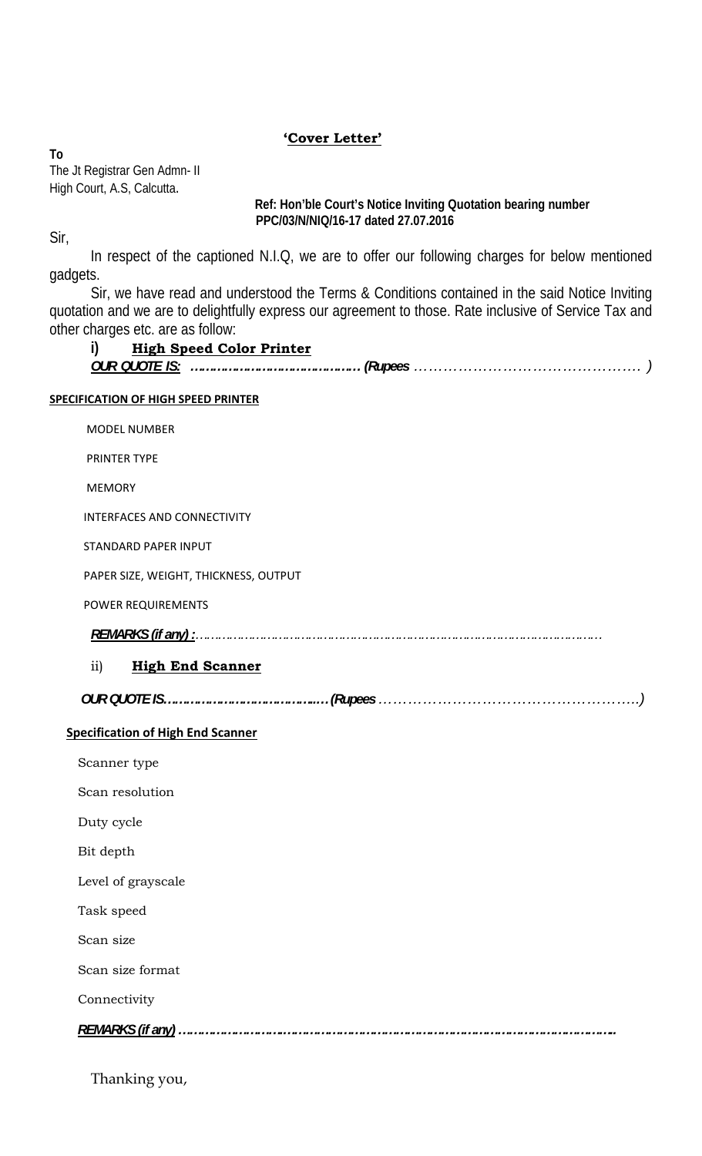## **'Cover Letter'**

**To**  The Jt Registrar Gen Admn- II High Court, A.S, Calcutta.

 **Ref: Hon'ble Court's Notice Inviting Quotation bearing number PPC/03/N/NIQ/16-17 dated 27.07.2016** 

Sir,

 In respect of the captioned N.I.Q, we are to offer our following charges for below mentioned gadgets.

Sir, we have read and understood the Terms & Conditions contained in the said Notice Inviting quotation and we are to delightfully express our agreement to those. Rate inclusive of Service Tax and other charges etc. are as follow:

## **i) High Speed Color Printer** *OUR QUOTE IS: ……………………………………… (Rupees ………………………………………. )*

#### **SPECIFICATION OF HIGH SPEED PRINTER**

MODEL NUMBER

PRINTER TYPE

MEMORY

INTERFACES AND CONNECTIVITY

STANDARD PAPER INPUT

PAPER SIZE, WEIGHT, THICKNESS, OUTPUT

POWER REQUIREMENTS

 *REMARKS (if any) :………………………………………………………………………………………………* 

## ii) **High End Scanner**

| OUR<br>$\sum$ |  |
|---------------|--|
| ונטשט -       |  |
|               |  |
|               |  |

## **Specification of High End Scanner**

Scanner type

Scan resolution

Duty cycle

Bit depth

Level of grayscale

Task speed

Scan size

Scan size format

Connectivity

 *REMARKS (if any) ……………………….……………………………………………………………………………..* 

Thanking you,